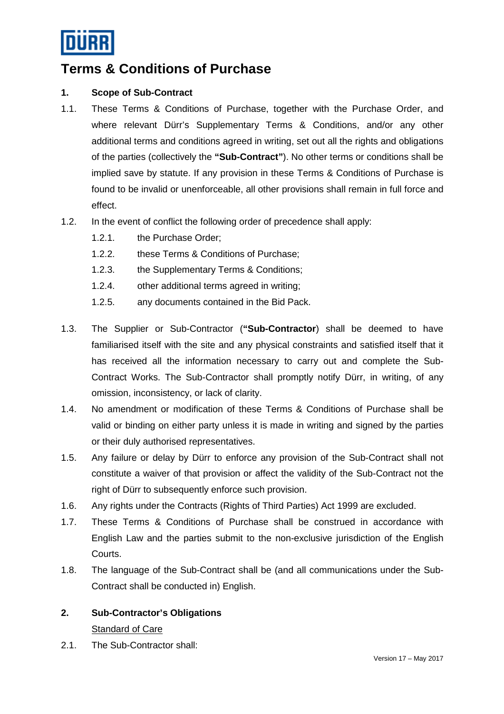

# **Terms & Conditions of Purchase**

## **1. Scope of Sub-Contract**

- 1.1. These Terms & Conditions of Purchase, together with the Purchase Order, and where relevant Dürr's Supplementary Terms & Conditions, and/or any other additional terms and conditions agreed in writing, set out all the rights and obligations of the parties (collectively the **"Sub-Contract"**). No other terms or conditions shall be implied save by statute. If any provision in these Terms & Conditions of Purchase is found to be invalid or unenforceable, all other provisions shall remain in full force and effect.
- 1.2. In the event of conflict the following order of precedence shall apply:
	- 1.2.1. the Purchase Order;
	- 1.2.2. these Terms & Conditions of Purchase;
	- 1.2.3. the Supplementary Terms & Conditions;
	- 1.2.4. other additional terms agreed in writing;
	- 1.2.5. any documents contained in the Bid Pack.
- 1.3. The Supplier or Sub-Contractor (**"Sub-Contractor**) shall be deemed to have familiarised itself with the site and any physical constraints and satisfied itself that it has received all the information necessary to carry out and complete the Sub-Contract Works. The Sub-Contractor shall promptly notify Dürr, in writing, of any omission, inconsistency, or lack of clarity.
- 1.4. No amendment or modification of these Terms & Conditions of Purchase shall be valid or binding on either party unless it is made in writing and signed by the parties or their duly authorised representatives.
- 1.5. Any failure or delay by Dürr to enforce any provision of the Sub-Contract shall not constitute a waiver of that provision or affect the validity of the Sub-Contract not the right of Dürr to subsequently enforce such provision.
- 1.6. Any rights under the Contracts (Rights of Third Parties) Act 1999 are excluded.
- 1.7. These Terms & Conditions of Purchase shall be construed in accordance with English Law and the parties submit to the non-exclusive jurisdiction of the English Courts.
- 1.8. The language of the Sub-Contract shall be (and all communications under the Sub-Contract shall be conducted in) English.

# **2. Sub-Contractor's Obligations**

#### Standard of Care

2.1. The Sub-Contractor shall: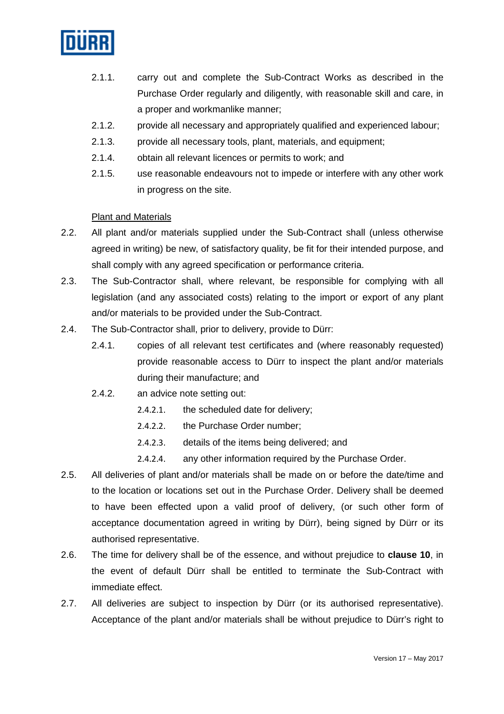

- 2.1.1. carry out and complete the Sub-Contract Works as described in the Purchase Order regularly and diligently, with reasonable skill and care, in a proper and workmanlike manner;
- 2.1.2. provide all necessary and appropriately qualified and experienced labour;
- 2.1.3. provide all necessary tools, plant, materials, and equipment;
- 2.1.4. obtain all relevant licences or permits to work; and
- 2.1.5. use reasonable endeavours not to impede or interfere with any other work in progress on the site.

## Plant and Materials

- 2.2. All plant and/or materials supplied under the Sub-Contract shall (unless otherwise agreed in writing) be new, of satisfactory quality, be fit for their intended purpose, and shall comply with any agreed specification or performance criteria.
- 2.3. The Sub-Contractor shall, where relevant, be responsible for complying with all legislation (and any associated costs) relating to the import or export of any plant and/or materials to be provided under the Sub-Contract.
- 2.4. The Sub-Contractor shall, prior to delivery, provide to Dürr:
	- 2.4.1. copies of all relevant test certificates and (where reasonably requested) provide reasonable access to Dürr to inspect the plant and/or materials during their manufacture; and
	- 2.4.2. an advice note setting out:
		- 2.4.2.1. the scheduled date for delivery;
		- 2.4.2.2. the Purchase Order number;
		- 2.4.2.3. details of the items being delivered; and
		- 2.4.2.4. any other information required by the Purchase Order.
- 2.5. All deliveries of plant and/or materials shall be made on or before the date/time and to the location or locations set out in the Purchase Order. Delivery shall be deemed to have been effected upon a valid proof of delivery, (or such other form of acceptance documentation agreed in writing by Dürr), being signed by Dürr or its authorised representative.
- 2.6. The time for delivery shall be of the essence, and without prejudice to **clause 10**, in the event of default Dürr shall be entitled to terminate the Sub-Contract with immediate effect.
- 2.7. All deliveries are subject to inspection by Dürr (or its authorised representative). Acceptance of the plant and/or materials shall be without prejudice to Dürr's right to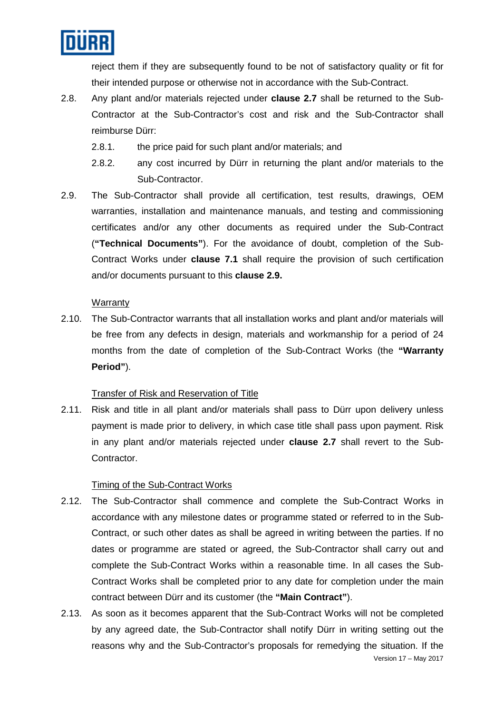

reject them if they are subsequently found to be not of satisfactory quality or fit for their intended purpose or otherwise not in accordance with the Sub-Contract.

- 2.8. Any plant and/or materials rejected under **clause 2.7** shall be returned to the Sub-Contractor at the Sub-Contractor's cost and risk and the Sub-Contractor shall reimburse Dürr:
	- 2.8.1. the price paid for such plant and/or materials; and
	- 2.8.2. any cost incurred by Dürr in returning the plant and/or materials to the Sub-Contractor.
- 2.9. The Sub-Contractor shall provide all certification, test results, drawings, OEM warranties, installation and maintenance manuals, and testing and commissioning certificates and/or any other documents as required under the Sub-Contract (**"Technical Documents"**). For the avoidance of doubt, completion of the Sub-Contract Works under **clause 7.1** shall require the provision of such certification and/or documents pursuant to this **clause 2.9.**

## **Warranty**

2.10. The Sub-Contractor warrants that all installation works and plant and/or materials will be free from any defects in design, materials and workmanship for a period of 24 months from the date of completion of the Sub-Contract Works (the **"Warranty Period"**).

#### Transfer of Risk and Reservation of Title

2.11. Risk and title in all plant and/or materials shall pass to Dürr upon delivery unless payment is made prior to delivery, in which case title shall pass upon payment. Risk in any plant and/or materials rejected under **clause 2.7** shall revert to the Sub-Contractor.

#### Timing of the Sub-Contract Works

- 2.12. The Sub-Contractor shall commence and complete the Sub-Contract Works in accordance with any milestone dates or programme stated or referred to in the Sub-Contract, or such other dates as shall be agreed in writing between the parties. If no dates or programme are stated or agreed, the Sub-Contractor shall carry out and complete the Sub-Contract Works within a reasonable time. In all cases the Sub-Contract Works shall be completed prior to any date for completion under the main contract between Dürr and its customer (the **"Main Contract"**).
- Version 17 May 2017 2.13. As soon as it becomes apparent that the Sub-Contract Works will not be completed by any agreed date, the Sub-Contractor shall notify Dürr in writing setting out the reasons why and the Sub-Contractor's proposals for remedying the situation. If the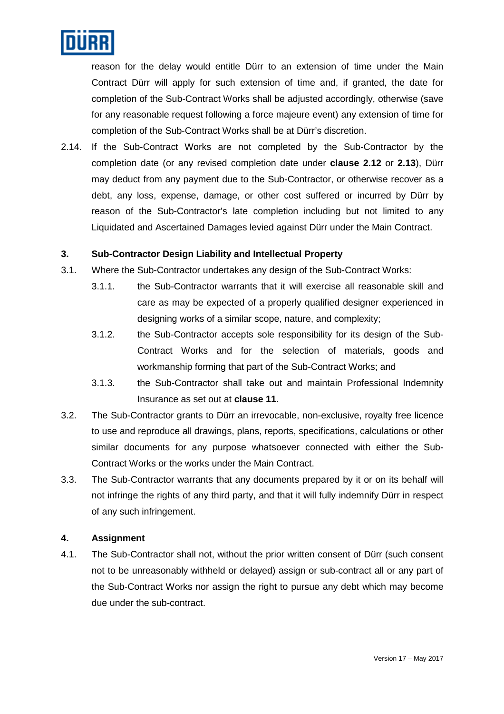

reason for the delay would entitle Dürr to an extension of time under the Main Contract Dürr will apply for such extension of time and, if granted, the date for completion of the Sub-Contract Works shall be adjusted accordingly, otherwise (save for any reasonable request following a force majeure event) any extension of time for completion of the Sub-Contract Works shall be at Dürr's discretion.

2.14. If the Sub-Contract Works are not completed by the Sub-Contractor by the completion date (or any revised completion date under **clause 2.12** or **2.13**), Dürr may deduct from any payment due to the Sub-Contractor, or otherwise recover as a debt, any loss, expense, damage, or other cost suffered or incurred by Dürr by reason of the Sub-Contractor's late completion including but not limited to any Liquidated and Ascertained Damages levied against Dürr under the Main Contract.

#### **3. Sub-Contractor Design Liability and Intellectual Property**

- 3.1. Where the Sub-Contractor undertakes any design of the Sub-Contract Works:
	- 3.1.1. the Sub-Contractor warrants that it will exercise all reasonable skill and care as may be expected of a properly qualified designer experienced in designing works of a similar scope, nature, and complexity;
	- 3.1.2. the Sub-Contractor accepts sole responsibility for its design of the Sub-Contract Works and for the selection of materials, goods and workmanship forming that part of the Sub-Contract Works; and
	- 3.1.3. the Sub-Contractor shall take out and maintain Professional Indemnity Insurance as set out at **clause 11**.
- 3.2. The Sub-Contractor grants to Dürr an irrevocable, non-exclusive, royalty free licence to use and reproduce all drawings, plans, reports, specifications, calculations or other similar documents for any purpose whatsoever connected with either the Sub-Contract Works or the works under the Main Contract.
- 3.3. The Sub-Contractor warrants that any documents prepared by it or on its behalf will not infringe the rights of any third party, and that it will fully indemnify Dürr in respect of any such infringement.

#### **4. Assignment**

4.1. The Sub-Contractor shall not, without the prior written consent of Dürr (such consent not to be unreasonably withheld or delayed) assign or sub-contract all or any part of the Sub-Contract Works nor assign the right to pursue any debt which may become due under the sub-contract.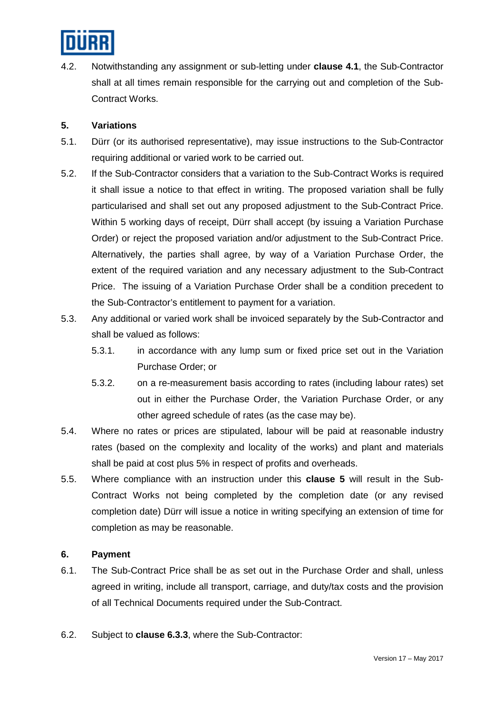

4.2. Notwithstanding any assignment or sub-letting under **clause 4.1**, the Sub-Contractor shall at all times remain responsible for the carrying out and completion of the Sub-Contract Works.

## **5. Variations**

- 5.1. Dürr (or its authorised representative), may issue instructions to the Sub-Contractor requiring additional or varied work to be carried out.
- 5.2. If the Sub-Contractor considers that a variation to the Sub-Contract Works is required it shall issue a notice to that effect in writing. The proposed variation shall be fully particularised and shall set out any proposed adjustment to the Sub-Contract Price. Within 5 working days of receipt, Dürr shall accept (by issuing a Variation Purchase Order) or reject the proposed variation and/or adjustment to the Sub-Contract Price. Alternatively, the parties shall agree, by way of a Variation Purchase Order, the extent of the required variation and any necessary adjustment to the Sub-Contract Price. The issuing of a Variation Purchase Order shall be a condition precedent to the Sub-Contractor's entitlement to payment for a variation.
- 5.3. Any additional or varied work shall be invoiced separately by the Sub-Contractor and shall be valued as follows:
	- 5.3.1. in accordance with any lump sum or fixed price set out in the Variation Purchase Order; or
	- 5.3.2. on a re-measurement basis according to rates (including labour rates) set out in either the Purchase Order, the Variation Purchase Order, or any other agreed schedule of rates (as the case may be).
- 5.4. Where no rates or prices are stipulated, labour will be paid at reasonable industry rates (based on the complexity and locality of the works) and plant and materials shall be paid at cost plus 5% in respect of profits and overheads.
- 5.5. Where compliance with an instruction under this **clause 5** will result in the Sub-Contract Works not being completed by the completion date (or any revised completion date) Dürr will issue a notice in writing specifying an extension of time for completion as may be reasonable.

#### **6. Payment**

- 6.1. The Sub-Contract Price shall be as set out in the Purchase Order and shall, unless agreed in writing, include all transport, carriage, and duty/tax costs and the provision of all Technical Documents required under the Sub-Contract.
- 6.2. Subject to **clause 6.3.3**, where the Sub-Contractor: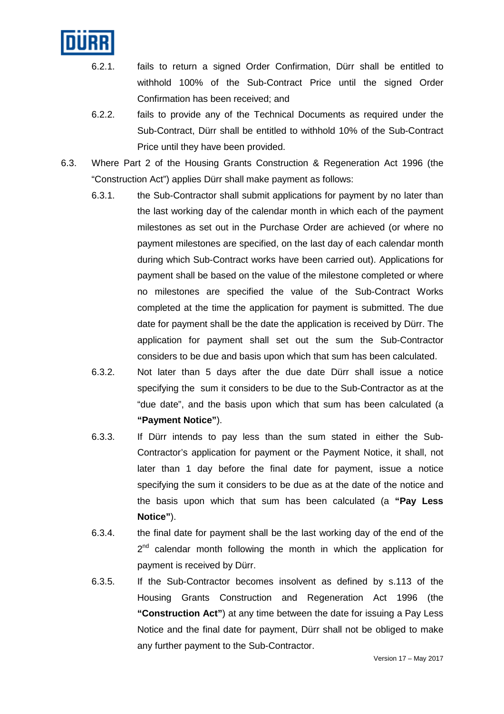

- 6.2.1. fails to return a signed Order Confirmation, Dürr shall be entitled to withhold 100% of the Sub-Contract Price until the signed Order Confirmation has been received; and
- 6.2.2. fails to provide any of the Technical Documents as required under the Sub-Contract, Dürr shall be entitled to withhold 10% of the Sub-Contract Price until they have been provided.
- 6.3. Where Part 2 of the Housing Grants Construction & Regeneration Act 1996 (the "Construction Act") applies Dürr shall make payment as follows:
	- 6.3.1. the Sub-Contractor shall submit applications for payment by no later than the last working day of the calendar month in which each of the payment milestones as set out in the Purchase Order are achieved (or where no payment milestones are specified, on the last day of each calendar month during which Sub-Contract works have been carried out). Applications for payment shall be based on the value of the milestone completed or where no milestones are specified the value of the Sub-Contract Works completed at the time the application for payment is submitted. The due date for payment shall be the date the application is received by Dürr. The application for payment shall set out the sum the Sub-Contractor considers to be due and basis upon which that sum has been calculated.
	- 6.3.2. Not later than 5 days after the due date Dürr shall issue a notice specifying the sum it considers to be due to the Sub-Contractor as at the "due date", and the basis upon which that sum has been calculated (a **"Payment Notice"**).
	- 6.3.3. If Dürr intends to pay less than the sum stated in either the Sub-Contractor's application for payment or the Payment Notice, it shall, not later than 1 day before the final date for payment, issue a notice specifying the sum it considers to be due as at the date of the notice and the basis upon which that sum has been calculated (a **"Pay Less Notice"**).
	- 6.3.4. the final date for payment shall be the last working day of the end of the  $2^{nd}$  calendar month following the month in which the application for payment is received by Dürr.
	- 6.3.5. If the Sub-Contractor becomes insolvent as defined by s.113 of the Housing Grants Construction and Regeneration Act 1996 (the **"Construction Act"**) at any time between the date for issuing a Pay Less Notice and the final date for payment, Dürr shall not be obliged to make any further payment to the Sub-Contractor.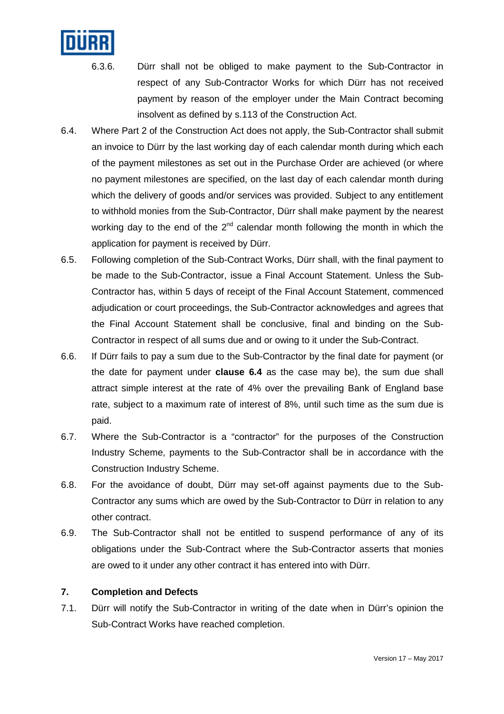

- 6.3.6. Dürr shall not be obliged to make payment to the Sub-Contractor in respect of any Sub-Contractor Works for which Dürr has not received payment by reason of the employer under the Main Contract becoming insolvent as defined by s.113 of the Construction Act.
- 6.4. Where Part 2 of the Construction Act does not apply, the Sub-Contractor shall submit an invoice to Dürr by the last working day of each calendar month during which each of the payment milestones as set out in the Purchase Order are achieved (or where no payment milestones are specified, on the last day of each calendar month during which the delivery of goods and/or services was provided. Subject to any entitlement to withhold monies from the Sub-Contractor, Dürr shall make payment by the nearest working day to the end of the  $2^{nd}$  calendar month following the month in which the application for payment is received by Dürr.
- 6.5. Following completion of the Sub-Contract Works, Dürr shall, with the final payment to be made to the Sub-Contractor, issue a Final Account Statement. Unless the Sub-Contractor has, within 5 days of receipt of the Final Account Statement, commenced adjudication or court proceedings, the Sub-Contractor acknowledges and agrees that the Final Account Statement shall be conclusive, final and binding on the Sub-Contractor in respect of all sums due and or owing to it under the Sub-Contract.
- 6.6. If Dürr fails to pay a sum due to the Sub-Contractor by the final date for payment (or the date for payment under **clause 6.4** as the case may be), the sum due shall attract simple interest at the rate of 4% over the prevailing Bank of England base rate, subject to a maximum rate of interest of 8%, until such time as the sum due is paid.
- 6.7. Where the Sub-Contractor is a "contractor" for the purposes of the Construction Industry Scheme, payments to the Sub-Contractor shall be in accordance with the Construction Industry Scheme.
- 6.8. For the avoidance of doubt, Dürr may set-off against payments due to the Sub-Contractor any sums which are owed by the Sub-Contractor to Dürr in relation to any other contract.
- 6.9. The Sub-Contractor shall not be entitled to suspend performance of any of its obligations under the Sub-Contract where the Sub-Contractor asserts that monies are owed to it under any other contract it has entered into with Dürr.

#### **7. Completion and Defects**

7.1. Dürr will notify the Sub-Contractor in writing of the date when in Dürr's opinion the Sub-Contract Works have reached completion.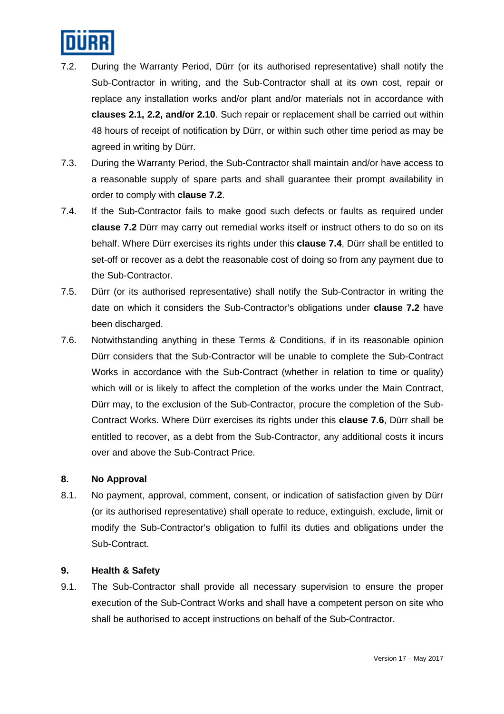

- 7.2. During the Warranty Period, Dürr (or its authorised representative) shall notify the Sub-Contractor in writing, and the Sub-Contractor shall at its own cost, repair or replace any installation works and/or plant and/or materials not in accordance with **clauses 2.1, 2.2, and/or 2.10**. Such repair or replacement shall be carried out within 48 hours of receipt of notification by Dürr, or within such other time period as may be agreed in writing by Dürr.
- 7.3. During the Warranty Period, the Sub-Contractor shall maintain and/or have access to a reasonable supply of spare parts and shall guarantee their prompt availability in order to comply with **clause 7.2**.
- 7.4. If the Sub-Contractor fails to make good such defects or faults as required under **clause 7.2** Dürr may carry out remedial works itself or instruct others to do so on its behalf. Where Dürr exercises its rights under this **clause 7.4**, Dürr shall be entitled to set-off or recover as a debt the reasonable cost of doing so from any payment due to the Sub-Contractor.
- 7.5. Dürr (or its authorised representative) shall notify the Sub-Contractor in writing the date on which it considers the Sub-Contractor's obligations under **clause 7.2** have been discharged.
- 7.6. Notwithstanding anything in these Terms & Conditions, if in its reasonable opinion Dürr considers that the Sub-Contractor will be unable to complete the Sub-Contract Works in accordance with the Sub-Contract (whether in relation to time or quality) which will or is likely to affect the completion of the works under the Main Contract, Dürr may, to the exclusion of the Sub-Contractor, procure the completion of the Sub-Contract Works. Where Dürr exercises its rights under this **clause 7.6**, Dürr shall be entitled to recover, as a debt from the Sub-Contractor, any additional costs it incurs over and above the Sub-Contract Price.

#### **8. No Approval**

8.1. No payment, approval, comment, consent, or indication of satisfaction given by Dürr (or its authorised representative) shall operate to reduce, extinguish, exclude, limit or modify the Sub-Contractor's obligation to fulfil its duties and obligations under the Sub-Contract.

## **9. Health & Safety**

9.1. The Sub-Contractor shall provide all necessary supervision to ensure the proper execution of the Sub-Contract Works and shall have a competent person on site who shall be authorised to accept instructions on behalf of the Sub-Contractor.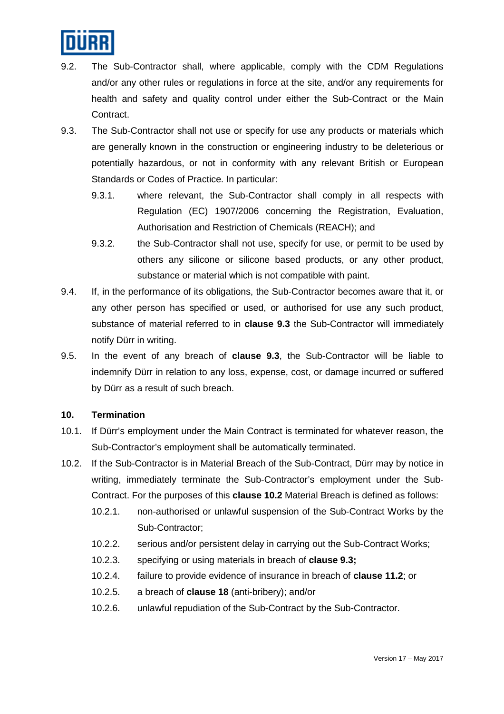

- 9.2. The Sub-Contractor shall, where applicable, comply with the CDM Regulations and/or any other rules or regulations in force at the site, and/or any requirements for health and safety and quality control under either the Sub-Contract or the Main Contract.
- 9.3. The Sub-Contractor shall not use or specify for use any products or materials which are generally known in the construction or engineering industry to be deleterious or potentially hazardous, or not in conformity with any relevant British or European Standards or Codes of Practice. In particular:
	- 9.3.1. where relevant, the Sub-Contractor shall comply in all respects with Regulation (EC) 1907/2006 concerning the Registration, Evaluation, Authorisation and Restriction of Chemicals (REACH); and
	- 9.3.2. the Sub-Contractor shall not use, specify for use, or permit to be used by others any silicone or silicone based products, or any other product, substance or material which is not compatible with paint.
- 9.4. If, in the performance of its obligations, the Sub-Contractor becomes aware that it, or any other person has specified or used, or authorised for use any such product, substance of material referred to in **clause 9.3** the Sub-Contractor will immediately notify Dürr in writing.
- 9.5. In the event of any breach of **clause 9.3**, the Sub-Contractor will be liable to indemnify Dürr in relation to any loss, expense, cost, or damage incurred or suffered by Dürr as a result of such breach.

#### **10. Termination**

- 10.1. If Dürr's employment under the Main Contract is terminated for whatever reason, the Sub-Contractor's employment shall be automatically terminated.
- 10.2. If the Sub-Contractor is in Material Breach of the Sub-Contract, Dürr may by notice in writing, immediately terminate the Sub-Contractor's employment under the Sub-Contract. For the purposes of this **clause 10.2** Material Breach is defined as follows:
	- 10.2.1. non-authorised or unlawful suspension of the Sub-Contract Works by the Sub-Contractor;
	- 10.2.2. serious and/or persistent delay in carrying out the Sub-Contract Works;
	- 10.2.3. specifying or using materials in breach of **clause 9.3;**
	- 10.2.4. failure to provide evidence of insurance in breach of **clause 11.2**; or
	- 10.2.5. a breach of **clause 18** (anti-bribery); and/or
	- 10.2.6. unlawful repudiation of the Sub-Contract by the Sub-Contractor.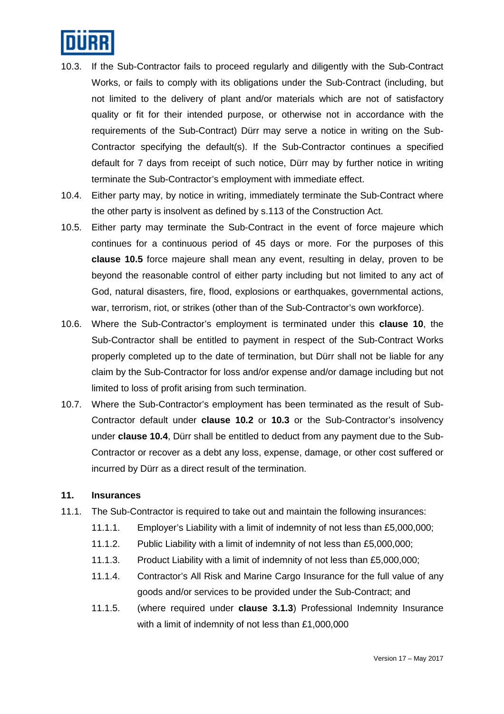

- 10.3. If the Sub-Contractor fails to proceed regularly and diligently with the Sub-Contract Works, or fails to comply with its obligations under the Sub-Contract (including, but not limited to the delivery of plant and/or materials which are not of satisfactory quality or fit for their intended purpose, or otherwise not in accordance with the requirements of the Sub-Contract) Dürr may serve a notice in writing on the Sub-Contractor specifying the default(s). If the Sub-Contractor continues a specified default for 7 days from receipt of such notice, Dürr may by further notice in writing terminate the Sub-Contractor's employment with immediate effect.
- 10.4. Either party may, by notice in writing, immediately terminate the Sub-Contract where the other party is insolvent as defined by s.113 of the Construction Act.
- 10.5. Either party may terminate the Sub-Contract in the event of force majeure which continues for a continuous period of 45 days or more. For the purposes of this **clause 10.5** force majeure shall mean any event, resulting in delay, proven to be beyond the reasonable control of either party including but not limited to any act of God, natural disasters, fire, flood, explosions or earthquakes, governmental actions, war, terrorism, riot, or strikes (other than of the Sub-Contractor's own workforce).
- 10.6. Where the Sub-Contractor's employment is terminated under this **clause 10**, the Sub-Contractor shall be entitled to payment in respect of the Sub-Contract Works properly completed up to the date of termination, but Dürr shall not be liable for any claim by the Sub-Contractor for loss and/or expense and/or damage including but not limited to loss of profit arising from such termination.
- 10.7. Where the Sub-Contractor's employment has been terminated as the result of Sub-Contractor default under **clause 10.2** or **10.3** or the Sub-Contractor's insolvency under **clause 10.4**, Dürr shall be entitled to deduct from any payment due to the Sub-Contractor or recover as a debt any loss, expense, damage, or other cost suffered or incurred by Dürr as a direct result of the termination.

#### **11. Insurances**

- 11.1. The Sub-Contractor is required to take out and maintain the following insurances:
	- 11.1.1. Employer's Liability with a limit of indemnity of not less than £5,000,000;
	- 11.1.2. Public Liability with a limit of indemnity of not less than £5,000,000;
	- 11.1.3. Product Liability with a limit of indemnity of not less than £5,000,000;
	- 11.1.4. Contractor's All Risk and Marine Cargo Insurance for the full value of any goods and/or services to be provided under the Sub-Contract; and
	- 11.1.5. (where required under **clause 3.1.3**) Professional Indemnity Insurance with a limit of indemnity of not less than £1,000,000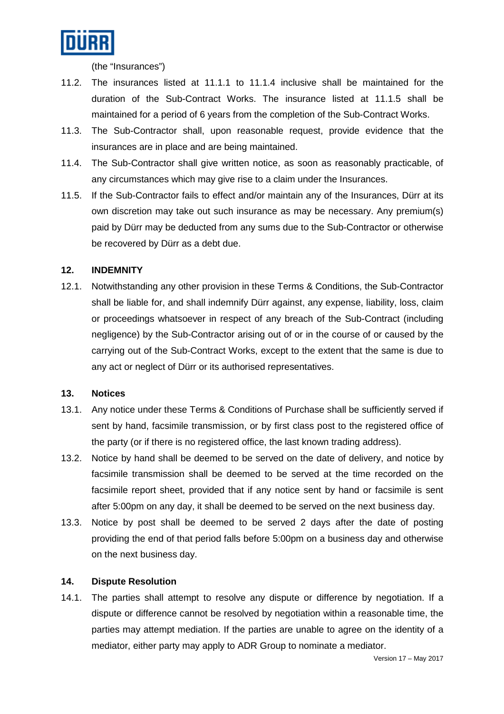

(the "Insurances")

- 11.2. The insurances listed at 11.1.1 to 11.1.4 inclusive shall be maintained for the duration of the Sub-Contract Works. The insurance listed at 11.1.5 shall be maintained for a period of 6 years from the completion of the Sub-Contract Works.
- 11.3. The Sub-Contractor shall, upon reasonable request, provide evidence that the insurances are in place and are being maintained.
- 11.4. The Sub-Contractor shall give written notice, as soon as reasonably practicable, of any circumstances which may give rise to a claim under the Insurances.
- 11.5. If the Sub-Contractor fails to effect and/or maintain any of the Insurances, Dürr at its own discretion may take out such insurance as may be necessary. Any premium(s) paid by Dürr may be deducted from any sums due to the Sub-Contractor or otherwise be recovered by Dürr as a debt due.

## **12. INDEMNITY**

12.1. Notwithstanding any other provision in these Terms & Conditions, the Sub-Contractor shall be liable for, and shall indemnify Dürr against, any expense, liability, loss, claim or proceedings whatsoever in respect of any breach of the Sub-Contract (including negligence) by the Sub-Contractor arising out of or in the course of or caused by the carrying out of the Sub-Contract Works, except to the extent that the same is due to any act or neglect of Dürr or its authorised representatives.

#### **13. Notices**

- 13.1. Any notice under these Terms & Conditions of Purchase shall be sufficiently served if sent by hand, facsimile transmission, or by first class post to the registered office of the party (or if there is no registered office, the last known trading address).
- 13.2. Notice by hand shall be deemed to be served on the date of delivery, and notice by facsimile transmission shall be deemed to be served at the time recorded on the facsimile report sheet, provided that if any notice sent by hand or facsimile is sent after 5:00pm on any day, it shall be deemed to be served on the next business day.
- 13.3. Notice by post shall be deemed to be served 2 days after the date of posting providing the end of that period falls before 5:00pm on a business day and otherwise on the next business day.

## **14. Dispute Resolution**

14.1. The parties shall attempt to resolve any dispute or difference by negotiation. If a dispute or difference cannot be resolved by negotiation within a reasonable time, the parties may attempt mediation. If the parties are unable to agree on the identity of a mediator, either party may apply to ADR Group to nominate a mediator.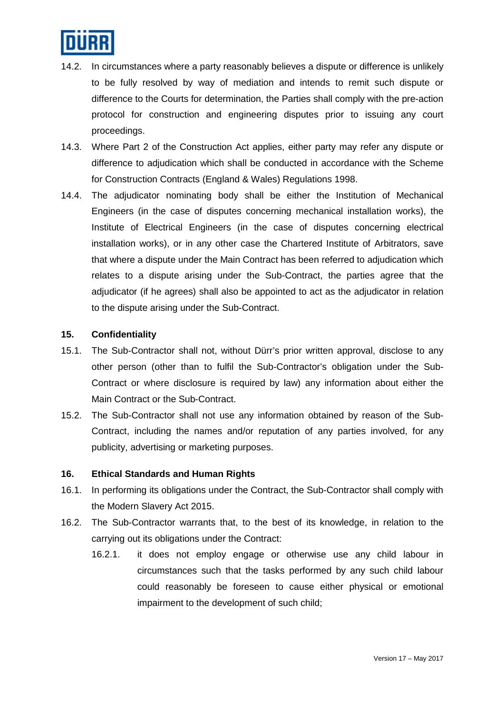

- 14.2. In circumstances where a party reasonably believes a dispute or difference is unlikely to be fully resolved by way of mediation and intends to remit such dispute or difference to the Courts for determination, the Parties shall comply with the pre-action protocol for construction and engineering disputes prior to issuing any court proceedings.
- 14.3. Where Part 2 of the Construction Act applies, either party may refer any dispute or difference to adjudication which shall be conducted in accordance with the Scheme for Construction Contracts (England & Wales) Regulations 1998.
- 14.4. The adjudicator nominating body shall be either the Institution of Mechanical Engineers (in the case of disputes concerning mechanical installation works), the Institute of Electrical Engineers (in the case of disputes concerning electrical installation works), or in any other case the Chartered Institute of Arbitrators, save that where a dispute under the Main Contract has been referred to adjudication which relates to a dispute arising under the Sub-Contract, the parties agree that the adjudicator (if he agrees) shall also be appointed to act as the adjudicator in relation to the dispute arising under the Sub-Contract.

#### **15. Confidentiality**

- 15.1. The Sub-Contractor shall not, without Dürr's prior written approval, disclose to any other person (other than to fulfil the Sub-Contractor's obligation under the Sub-Contract or where disclosure is required by law) any information about either the Main Contract or the Sub-Contract.
- 15.2. The Sub-Contractor shall not use any information obtained by reason of the Sub-Contract, including the names and/or reputation of any parties involved, for any publicity, advertising or marketing purposes.

#### **16. Ethical Standards and Human Rights**

- 16.1. In performing its obligations under the Contract, the Sub-Contractor shall comply with the Modern Slavery Act 2015.
- 16.2. The Sub-Contractor warrants that, to the best of its knowledge, in relation to the carrying out its obligations under the Contract:
	- 16.2.1. it does not employ engage or otherwise use any child labour in circumstances such that the tasks performed by any such child labour could reasonably be foreseen to cause either physical or emotional impairment to the development of such child;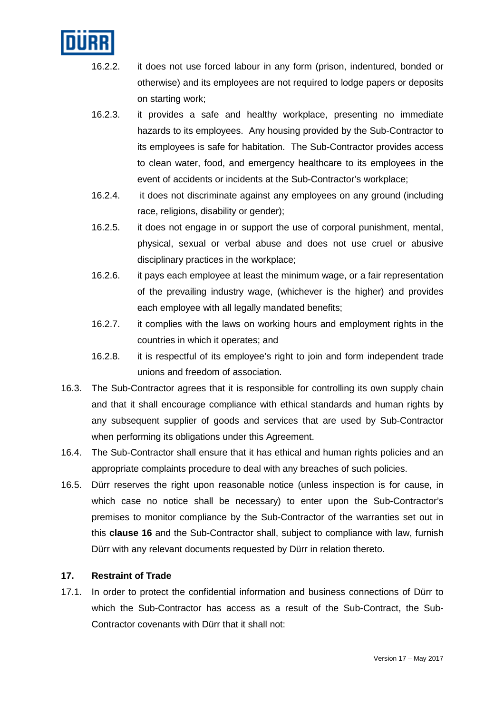

- 16.2.2. it does not use forced labour in any form (prison, indentured, bonded or otherwise) and its employees are not required to lodge papers or deposits on starting work;
- 16.2.3. it provides a safe and healthy workplace, presenting no immediate hazards to its employees. Any housing provided by the Sub-Contractor to its employees is safe for habitation. The Sub-Contractor provides access to clean water, food, and emergency healthcare to its employees in the event of accidents or incidents at the Sub-Contractor's workplace;
- 16.2.4. it does not discriminate against any employees on any ground (including race, religions, disability or gender);
- 16.2.5. it does not engage in or support the use of corporal punishment, mental, physical, sexual or verbal abuse and does not use cruel or abusive disciplinary practices in the workplace;
- 16.2.6. it pays each employee at least the minimum wage, or a fair representation of the prevailing industry wage, (whichever is the higher) and provides each employee with all legally mandated benefits;
- 16.2.7. it complies with the laws on working hours and employment rights in the countries in which it operates; and
- 16.2.8. it is respectful of its employee's right to join and form independent trade unions and freedom of association.
- 16.3. The Sub-Contractor agrees that it is responsible for controlling its own supply chain and that it shall encourage compliance with ethical standards and human rights by any subsequent supplier of goods and services that are used by Sub-Contractor when performing its obligations under this Agreement.
- 16.4. The Sub-Contractor shall ensure that it has ethical and human rights policies and an appropriate complaints procedure to deal with any breaches of such policies.
- 16.5. Dürr reserves the right upon reasonable notice (unless inspection is for cause, in which case no notice shall be necessary) to enter upon the Sub-Contractor's premises to monitor compliance by the Sub-Contractor of the warranties set out in this **clause 16** and the Sub-Contractor shall, subject to compliance with law, furnish Dürr with any relevant documents requested by Dürr in relation thereto.

# **17. Restraint of Trade**

17.1. In order to protect the confidential information and business connections of Dürr to which the Sub-Contractor has access as a result of the Sub-Contract, the Sub-Contractor covenants with Dürr that it shall not: